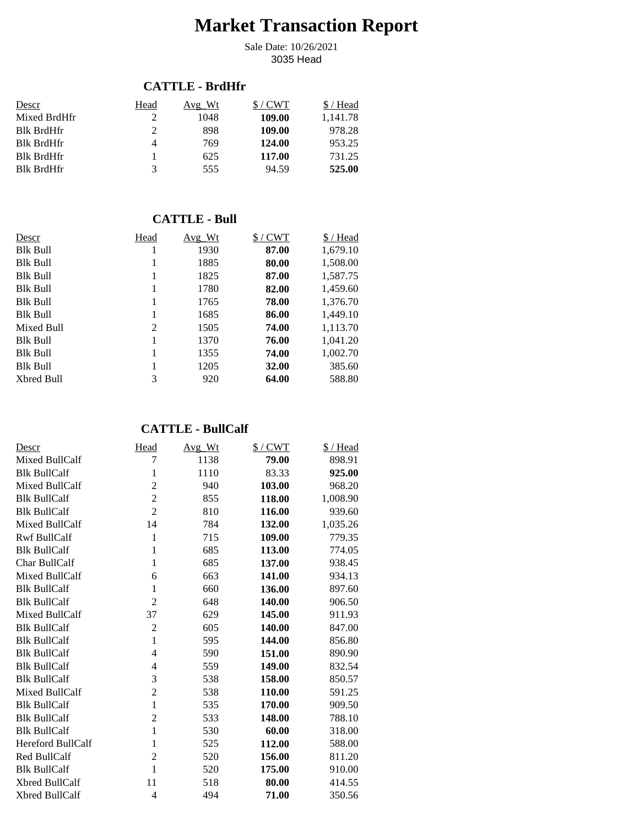# **Market Transaction Report**

3035 Head Sale Date: 10/26/2021

#### **CATTLE - BrdHfr**

| Descr             | Head | Avg Wt | $/$ CWT | / Head   |
|-------------------|------|--------|---------|----------|
| Mixed BrdHfr      |      | 1048   | 109.00  | 1.141.78 |
| <b>Blk BrdHfr</b> |      | 898    | 109.00  | 978.28   |
| <b>Blk BrdHfr</b> | 4    | 769    | 124.00  | 953.25   |
| <b>Blk BrdHfr</b> |      | 625    | 117.00  | 731.25   |
| <b>Blk BrdHfr</b> | 3    | 555    | 94.59   | 525.00   |

#### **CATTLE - Bull**

| Descr           | Head | $Avg_Wt$ | $$/$ CWT | \$ / Head |
|-----------------|------|----------|----------|-----------|
| <b>Blk Bull</b> | 1    | 1930     | 87.00    | 1,679.10  |
| <b>Blk Bull</b> | 1    | 1885     | 80.00    | 1,508.00  |
| <b>Blk Bull</b> | 1    | 1825     | 87.00    | 1,587.75  |
| <b>Blk Bull</b> | 1    | 1780     | 82.00    | 1,459.60  |
| <b>Blk Bull</b> | 1    | 1765     | 78.00    | 1,376.70  |
| <b>Blk Bull</b> | 1    | 1685     | 86.00    | 1,449.10  |
| Mixed Bull      | 2    | 1505     | 74.00    | 1,113.70  |
| <b>Blk Bull</b> | 1    | 1370     | 76.00    | 1,041.20  |
| Blk Bull        | 1    | 1355     | 74.00    | 1,002.70  |
| <b>Blk Bull</b> | 1    | 1205     | 32.00    | 385.60    |
| Xbred Bull      | 3    | 920      | 64.00    | 588.80    |

# **CATTLE - BullCalf**

| Descr                 | Head           | Avg_Wt | $$/$ CWT | \$/Head  |
|-----------------------|----------------|--------|----------|----------|
| Mixed BullCalf        | 7              | 1138   | 79.00    | 898.91   |
| <b>Blk BullCalf</b>   | 1              | 1110   | 83.33    | 925.00   |
| Mixed BullCalf        | $\overline{c}$ | 940    | 103.00   | 968.20   |
| <b>Blk BullCalf</b>   | $\overline{c}$ | 855    | 118.00   | 1,008.90 |
| <b>Blk BullCalf</b>   | $\overline{2}$ | 810    | 116.00   | 939.60   |
| Mixed BullCalf        | 14             | 784    | 132.00   | 1,035.26 |
| <b>Rwf BullCalf</b>   | 1              | 715    | 109.00   | 779.35   |
| <b>Blk BullCalf</b>   | 1              | 685    | 113.00   | 774.05   |
| Char BullCalf         | $\mathbf{1}$   | 685    | 137.00   | 938.45   |
| Mixed BullCalf        | 6              | 663    | 141.00   | 934.13   |
| <b>Blk BullCalf</b>   | 1              | 660    | 136.00   | 897.60   |
| <b>Blk BullCalf</b>   | $\overline{c}$ | 648    | 140.00   | 906.50   |
| Mixed BullCalf        | 37             | 629    | 145.00   | 911.93   |
| <b>Blk BullCalf</b>   | $\overline{2}$ | 605    | 140.00   | 847.00   |
| <b>Blk BullCalf</b>   | $\mathbf{1}$   | 595    | 144.00   | 856.80   |
| <b>Blk BullCalf</b>   | $\overline{4}$ | 590    | 151.00   | 890.90   |
| <b>Blk BullCalf</b>   | $\overline{4}$ | 559    | 149.00   | 832.54   |
| <b>Blk BullCalf</b>   | 3              | 538    | 158.00   | 850.57   |
| Mixed BullCalf        | $\overline{c}$ | 538    | 110.00   | 591.25   |
| <b>Blk BullCalf</b>   | $\mathbf{1}$   | 535    | 170.00   | 909.50   |
| <b>Blk BullCalf</b>   | $\overline{c}$ | 533    | 148.00   | 788.10   |
| <b>Blk BullCalf</b>   | $\mathbf{1}$   | 530    | 60.00    | 318.00   |
| Hereford BullCalf     | 1              | 525    | 112.00   | 588.00   |
| Red BullCalf          | $\overline{c}$ | 520    | 156.00   | 811.20   |
| <b>Blk BullCalf</b>   | 1              | 520    | 175.00   | 910.00   |
| Xbred BullCalf        | 11             | 518    | 80.00    | 414.55   |
| <b>Xbred BullCalf</b> | $\overline{4}$ | 494    | 71.00    | 350.56   |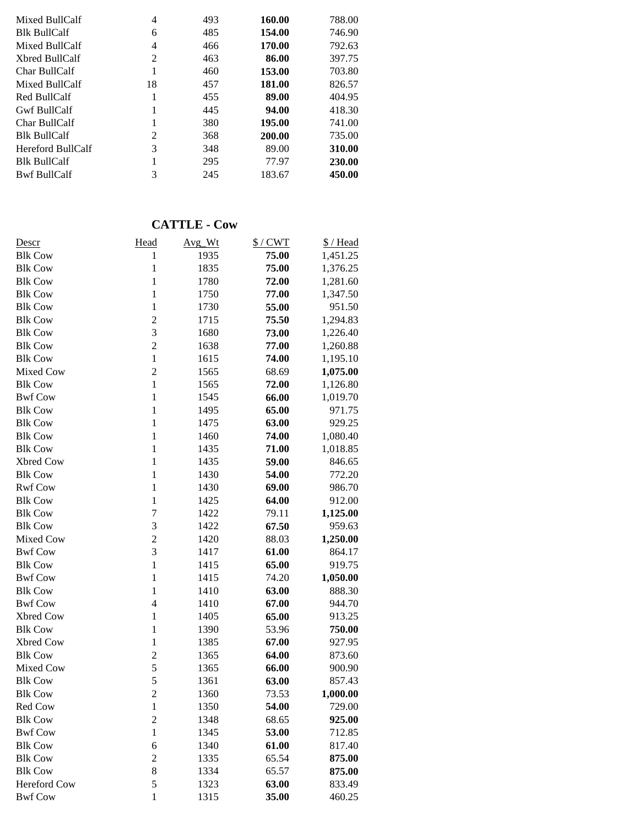| 746.90 |
|--------|
| 792.63 |
| 397.75 |
| 703.80 |
| 826.57 |
| 404.95 |
| 418.30 |
| 741.00 |
| 735.00 |
| 310.00 |
| 230.00 |
| 450.00 |
|        |

#### **CATTLE - Cow**

| Descr          | Head           | Avg_Wt | $$/$ CWT | \$/Head  |
|----------------|----------------|--------|----------|----------|
| <b>Blk Cow</b> | $\mathbf{1}$   | 1935   | 75.00    | 1,451.25 |
| <b>Blk Cow</b> | $\mathbf{1}$   | 1835   | 75.00    | 1,376.25 |
| <b>Blk Cow</b> | $\mathbf{1}$   | 1780   | 72.00    | 1,281.60 |
| <b>Blk Cow</b> | $\mathbf{1}$   | 1750   | 77.00    | 1,347.50 |
| <b>Blk Cow</b> | $\mathbf{1}$   | 1730   | 55.00    | 951.50   |
| <b>Blk Cow</b> | $\overline{c}$ | 1715   | 75.50    | 1,294.83 |
| <b>Blk Cow</b> | 3              | 1680   | 73.00    | 1,226.40 |
| <b>Blk Cow</b> | $\overline{c}$ | 1638   | 77.00    | 1,260.88 |
| <b>Blk Cow</b> | $\mathbf{1}$   | 1615   | 74.00    | 1,195.10 |
| Mixed Cow      | $\overline{c}$ | 1565   | 68.69    | 1,075.00 |
| <b>Blk Cow</b> | $\mathbf{1}$   | 1565   | 72.00    | 1,126.80 |
| <b>Bwf Cow</b> | $\mathbf{1}$   | 1545   | 66.00    | 1,019.70 |
| <b>Blk Cow</b> | $\mathbf{1}$   | 1495   | 65.00    | 971.75   |
| <b>Blk Cow</b> | $\mathbf{1}$   | 1475   | 63.00    | 929.25   |
| <b>Blk Cow</b> | $\mathbf{1}$   | 1460   | 74.00    | 1,080.40 |
| <b>Blk Cow</b> | $\mathbf{1}$   | 1435   | 71.00    | 1,018.85 |
| Xbred Cow      | $\mathbf{1}$   | 1435   | 59.00    | 846.65   |
| <b>Blk Cow</b> | $\mathbf{1}$   | 1430   | 54.00    | 772.20   |
| <b>Rwf Cow</b> | $\mathbf{1}$   | 1430   | 69.00    | 986.70   |
| <b>Blk Cow</b> | $\mathbf{1}$   | 1425   | 64.00    | 912.00   |
| <b>Blk Cow</b> | $\overline{7}$ | 1422   | 79.11    | 1,125.00 |
| <b>Blk Cow</b> | 3              | 1422   | 67.50    | 959.63   |
| Mixed Cow      | $\overline{c}$ | 1420   | 88.03    | 1,250.00 |
| <b>Bwf Cow</b> | 3              | 1417   | 61.00    | 864.17   |
| <b>Blk Cow</b> | $\mathbf{1}$   | 1415   | 65.00    | 919.75   |
| <b>Bwf Cow</b> | $\mathbf{1}$   | 1415   | 74.20    | 1,050.00 |
| <b>Blk Cow</b> | $\mathbf{1}$   | 1410   | 63.00    | 888.30   |
| <b>Bwf Cow</b> | $\overline{4}$ | 1410   | 67.00    | 944.70   |
| Xbred Cow      | $\mathbf{1}$   | 1405   | 65.00    | 913.25   |
| <b>Blk Cow</b> | $\mathbf{1}$   | 1390   | 53.96    | 750.00   |
| Xbred Cow      | $\mathbf 1$    | 1385   | 67.00    | 927.95   |
| <b>Blk Cow</b> | $\overline{c}$ | 1365   | 64.00    | 873.60   |
| Mixed Cow      | 5              | 1365   | 66.00    | 900.90   |
| <b>Blk Cow</b> | 5              | 1361   | 63.00    | 857.43   |
| <b>Blk Cow</b> | $\overline{c}$ | 1360   | 73.53    | 1,000.00 |
| Red Cow        | $\mathbf 1$    | 1350   | 54.00    | 729.00   |
| <b>Blk Cow</b> | $\overline{c}$ | 1348   | 68.65    | 925.00   |
| <b>Bwf Cow</b> | $\mathbf{1}$   | 1345   | 53.00    | 712.85   |
| <b>Blk Cow</b> | 6              | 1340   | 61.00    | 817.40   |
| <b>Blk Cow</b> | $\overline{c}$ | 1335   | 65.54    | 875.00   |
| <b>Blk Cow</b> | 8              | 1334   | 65.57    | 875.00   |
| Hereford Cow   | 5              | 1323   | 63.00    | 833.49   |
| <b>Bwf Cow</b> | $\mathbf{1}$   | 1315   | 35.00    | 460.25   |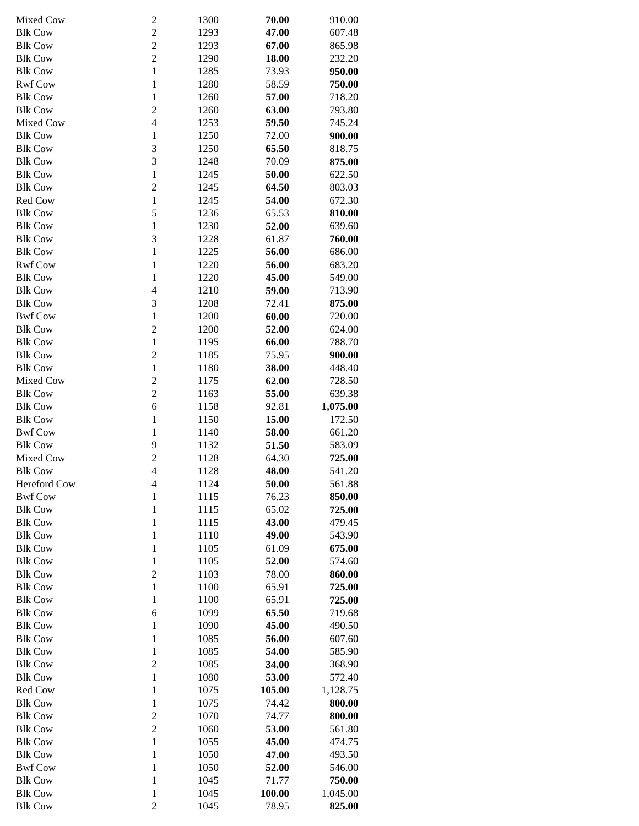| Mixed Cow      | $\overline{\mathbf{c}}$ | 1300 | 70.00  | 910.00   |
|----------------|-------------------------|------|--------|----------|
| <b>Blk Cow</b> | $\overline{c}$          | 1293 | 47.00  | 607.48   |
| <b>Blk Cow</b> | $\overline{c}$          | 1293 | 67.00  | 865.98   |
| <b>Blk Cow</b> | $\overline{c}$          | 1290 | 18.00  | 232.20   |
| <b>Blk Cow</b> | $\mathbf{1}$            | 1285 | 73.93  | 950.00   |
| <b>Rwf Cow</b> | $\mathbf 1$             | 1280 | 58.59  | 750.00   |
| <b>Blk Cow</b> | $\mathbf{1}$            | 1260 | 57.00  | 718.20   |
| <b>Blk Cow</b> | $\overline{c}$          | 1260 | 63.00  | 793.80   |
| Mixed Cow      | $\overline{4}$          | 1253 | 59.50  | 745.24   |
| <b>Blk Cow</b> | $\mathbf{1}$            | 1250 | 72.00  | 900.00   |
| <b>Blk Cow</b> | 3                       | 1250 | 65.50  | 818.75   |
| <b>Blk Cow</b> | 3                       | 1248 | 70.09  | 875.00   |
| <b>Blk Cow</b> | $\mathbf{1}$            | 1245 | 50.00  | 622.50   |
| <b>Blk Cow</b> | $\overline{c}$          | 1245 | 64.50  | 803.03   |
| Red Cow        | $\mathbf{1}$            | 1245 | 54.00  | 672.30   |
| <b>Blk Cow</b> | 5                       | 1236 | 65.53  | 810.00   |
| <b>Blk Cow</b> | $\mathbf{1}$            | 1230 | 52.00  | 639.60   |
| <b>Blk Cow</b> | 3                       | 1228 | 61.87  | 760.00   |
| <b>Blk Cow</b> | $\mathbf{1}$            | 1225 | 56.00  | 686.00   |
| <b>Rwf Cow</b> | $\mathbf{1}$            | 1220 | 56.00  | 683.20   |
| <b>Blk Cow</b> | $\mathbf{1}$            | 1220 | 45.00  | 549.00   |
| <b>Blk Cow</b> | $\overline{4}$          | 1210 | 59.00  | 713.90   |
| <b>Blk Cow</b> | 3                       | 1208 | 72.41  | 875.00   |
| <b>Bwf Cow</b> | $\mathbf{1}$            | 1200 | 60.00  | 720.00   |
| <b>Blk Cow</b> | $\overline{c}$          | 1200 | 52.00  | 624.00   |
| <b>Blk Cow</b> | $\mathbf{1}$            | 1195 | 66.00  | 788.70   |
| <b>Blk Cow</b> | $\overline{c}$          | 1185 | 75.95  | 900.00   |
| <b>Blk Cow</b> | $\mathbf{1}$            | 1180 | 38.00  | 448.40   |
| Mixed Cow      | $\overline{c}$          | 1175 | 62.00  | 728.50   |
| <b>Blk Cow</b> | $\overline{c}$          | 1163 | 55.00  | 639.38   |
| <b>Blk Cow</b> | 6                       | 1158 | 92.81  | 1,075.00 |
| <b>Blk Cow</b> | $\mathbf{1}$            | 1150 | 15.00  | 172.50   |
| <b>Bwf Cow</b> | $\mathbf{1}$            | 1140 | 58.00  | 661.20   |
| <b>Blk Cow</b> | 9                       | 1132 | 51.50  | 583.09   |
| Mixed Cow      | $\overline{c}$          | 1128 | 64.30  | 725.00   |
| <b>Blk Cow</b> | $\overline{4}$          | 1128 | 48.00  | 541.20   |
| Hereford Cow   | 4                       | 1124 | 50.00  | 561.88   |
| <b>Bwf Cow</b> | $\mathbf 1$             | 1115 | 76.23  | 850.00   |
| <b>Blk Cow</b> | $\mathbf 1$             | 1115 | 65.02  | 725.00   |
| <b>Blk Cow</b> | $\mathbf{1}$            | 1115 | 43.00  | 479.45   |
| <b>Blk Cow</b> | $\mathbf{1}$            | 1110 | 49.00  | 543.90   |
| <b>Blk Cow</b> | $\mathbf{1}$            | 1105 | 61.09  | 675.00   |
| <b>Blk Cow</b> | $\mathbf{1}$            | 1105 | 52.00  | 574.60   |
| <b>Blk Cow</b> | $\overline{c}$          | 1103 | 78.00  | 860.00   |
| <b>Blk Cow</b> | $\mathbf{1}$            | 1100 | 65.91  | 725.00   |
| <b>Blk Cow</b> | $\mathbf{1}$            | 1100 | 65.91  | 725.00   |
| <b>Blk Cow</b> | 6                       | 1099 | 65.50  | 719.68   |
| <b>Blk Cow</b> | $\mathbf{1}$            | 1090 | 45.00  | 490.50   |
| <b>Blk Cow</b> | $\mathbf{1}$            | 1085 | 56.00  | 607.60   |
| <b>Blk Cow</b> | $\mathbf{1}$            | 1085 | 54.00  | 585.90   |
| <b>Blk Cow</b> | $\overline{c}$          | 1085 | 34.00  | 368.90   |
| <b>Blk Cow</b> | $\mathbf{1}$            | 1080 | 53.00  | 572.40   |
| Red Cow        | $\mathbf{1}$            | 1075 | 105.00 | 1,128.75 |
| <b>Blk Cow</b> | $\mathbf{1}$            | 1075 | 74.42  | 800.00   |
| <b>Blk Cow</b> | $\overline{c}$          | 1070 | 74.77  | 800.00   |
| <b>Blk Cow</b> | $\overline{c}$          | 1060 | 53.00  | 561.80   |
| <b>Blk Cow</b> | $\mathbf{1}$            | 1055 | 45.00  | 474.75   |
| <b>Blk Cow</b> | $\mathbf{1}$            | 1050 | 47.00  | 493.50   |
| <b>Bwf Cow</b> | $\mathbf{1}$            | 1050 | 52.00  | 546.00   |
| <b>Blk Cow</b> | $\mathbf 1$             | 1045 | 71.77  | 750.00   |
| <b>Blk Cow</b> | $\mathbf 1$             | 1045 | 100.00 | 1,045.00 |
| <b>Blk Cow</b> | $\overline{c}$          | 1045 | 78.95  | 825.00   |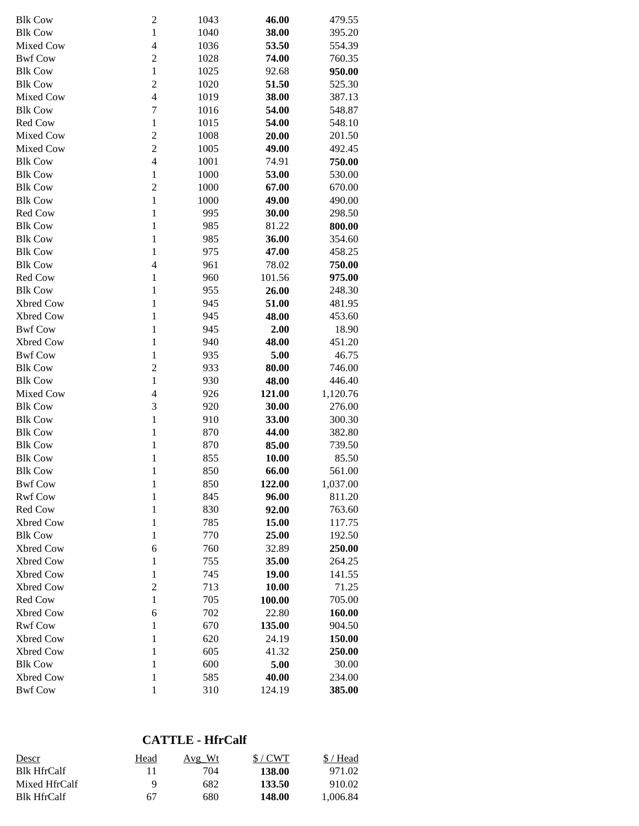| <b>Blk Cow</b> | $\overline{\mathbf{c}}$  | 1043 | 46.00  | 479.55   |
|----------------|--------------------------|------|--------|----------|
| <b>Blk Cow</b> | $\mathbf{1}$             | 1040 | 38.00  | 395.20   |
| Mixed Cow      | 4                        | 1036 | 53.50  | 554.39   |
| <b>Bwf Cow</b> | $\overline{c}$           | 1028 | 74.00  | 760.35   |
| <b>Blk Cow</b> | $\mathbf{1}$             | 1025 | 92.68  |          |
|                |                          |      |        | 950.00   |
| <b>Blk Cow</b> | $\overline{c}$           | 1020 | 51.50  | 525.30   |
| Mixed Cow      | $\overline{\mathcal{L}}$ | 1019 | 38.00  | 387.13   |
| <b>Blk Cow</b> | $\overline{7}$           | 1016 | 54.00  | 548.87   |
| Red Cow        | $\mathbf{1}$             | 1015 | 54.00  | 548.10   |
| Mixed Cow      | $\overline{c}$           | 1008 | 20.00  | 201.50   |
| Mixed Cow      | $\overline{2}$           | 1005 | 49.00  | 492.45   |
| <b>Blk Cow</b> | $\overline{\mathbf{4}}$  | 1001 | 74.91  | 750.00   |
| <b>Blk Cow</b> | $\mathbf{1}$             | 1000 | 53.00  | 530.00   |
| <b>Blk Cow</b> | $\overline{c}$           | 1000 | 67.00  | 670.00   |
| <b>Blk Cow</b> | $\mathbf{1}$             | 1000 | 49.00  | 490.00   |
| Red Cow        | $\mathbf{1}$             | 995  | 30.00  | 298.50   |
| <b>Blk Cow</b> | $\mathbf{1}$             | 985  | 81.22  | 800.00   |
| <b>Blk Cow</b> | $\mathbf{1}$             | 985  | 36.00  | 354.60   |
| <b>Blk Cow</b> | $\mathbf{1}$             | 975  | 47.00  | 458.25   |
| <b>Blk Cow</b> | 4                        | 961  | 78.02  | 750.00   |
| Red Cow        | $\mathbf{1}$             | 960  | 101.56 | 975.00   |
| <b>Blk Cow</b> | $\mathbf{1}$             | 955  | 26.00  | 248.30   |
| Xbred Cow      | $\mathbf{1}$             | 945  | 51.00  | 481.95   |
| Xbred Cow      | $\mathbf{1}$             | 945  | 48.00  | 453.60   |
| <b>Bwf Cow</b> | $\mathbf{1}$             | 945  | 2.00   | 18.90    |
| Xbred Cow      | $\mathbf{1}$             | 940  | 48.00  | 451.20   |
| <b>Bwf Cow</b> | $\mathbf{1}$             | 935  | 5.00   | 46.75    |
| <b>Blk Cow</b> | $\overline{c}$           | 933  | 80.00  | 746.00   |
| <b>Blk Cow</b> | $\mathbf{1}$             | 930  | 48.00  | 446.40   |
| Mixed Cow      | $\overline{4}$           | 926  | 121.00 | 1,120.76 |
| <b>Blk Cow</b> | 3                        | 920  | 30.00  | 276.00   |
| <b>Blk Cow</b> | $\mathbf{1}$             | 910  | 33.00  | 300.30   |
| <b>Blk Cow</b> | $\mathbf{1}$             | 870  | 44.00  | 382.80   |
| <b>Blk Cow</b> | $\mathbf{1}$             | 870  | 85.00  | 739.50   |
| <b>Blk Cow</b> | $\mathbf{1}$             | 855  | 10.00  | 85.50    |
| <b>Blk Cow</b> | $\mathbf{1}$             | 850  | 66.00  | 561.00   |
| <b>Bwf Cow</b> | $\mathbf 1$              | 850  | 122.00 | 1,037.00 |
| <b>Rwf Cow</b> | $\mathbf{1}$             | 845  | 96.00  | 811.20   |
| Red Cow        | $\mathbf{1}$             | 830  | 92.00  | 763.60   |
| Xbred Cow      | $\mathbf{1}$             | 785  | 15.00  | 117.75   |
| <b>Blk Cow</b> | $\mathbf{1}$             | 770  | 25.00  | 192.50   |
| Xbred Cow      | 6                        | 760  | 32.89  | 250.00   |
| Xbred Cow      | $\mathbf{1}$             | 755  | 35.00  | 264.25   |
| Xbred Cow      |                          | 745  | 19.00  |          |
|                | $\mathbf{1}$             |      |        | 141.55   |
| Xbred Cow      | $\overline{c}$           | 713  | 10.00  | 71.25    |
| Red Cow        | $\mathbf{1}$             | 705  | 100.00 | 705.00   |
| Xbred Cow      | 6                        | 702  | 22.80  | 160.00   |
| <b>Rwf Cow</b> | $\mathbf{1}$             | 670  | 135.00 | 904.50   |
| Xbred Cow      | $\mathbf{1}$             | 620  | 24.19  | 150.00   |
| Xbred Cow      | $\mathbf{1}$             | 605  | 41.32  | 250.00   |
| <b>Blk Cow</b> | $\mathbf{1}$             | 600  | 5.00   | 30.00    |
| Xbred Cow      | $\mathbf{1}$             | 585  | 40.00  | 234.00   |
| <b>Bwf Cow</b> | $\,1$                    | 310  | 124.19 | 385.00   |

## **CATTLE - HfrCalf**

| Descr              | Head | Avg Wt | S/CWT  | \$/Head  |
|--------------------|------|--------|--------|----------|
| <b>Blk HfrCalf</b> |      | 704    | 138.00 | 971.02   |
| Mixed HfrCalf      | Q    | 682    | 133.50 | 910.02   |
| <b>Blk HfrCalf</b> | 67   | 680    | 148.00 | 1.006.84 |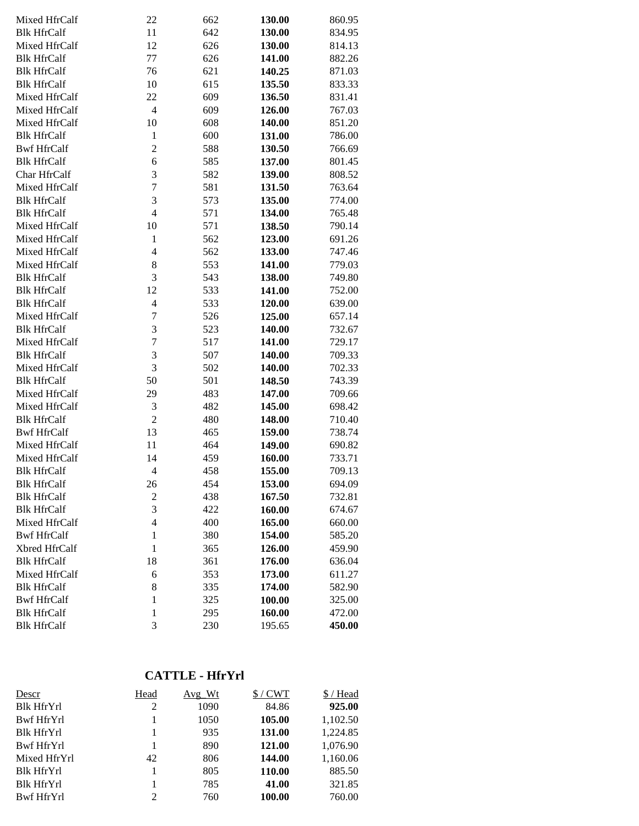| Mixed HfrCalf      | 22               | 662 | 130.00 | 860.95 |
|--------------------|------------------|-----|--------|--------|
| <b>Blk HfrCalf</b> | 11               | 642 | 130.00 | 834.95 |
| Mixed HfrCalf      | 12               | 626 | 130.00 | 814.13 |
| <b>Blk HfrCalf</b> | 77               | 626 | 141.00 | 882.26 |
| <b>Blk HfrCalf</b> | 76               | 621 | 140.25 | 871.03 |
| <b>Blk HfrCalf</b> | 10               | 615 | 135.50 | 833.33 |
| Mixed HfrCalf      | 22               | 609 | 136.50 | 831.41 |
| Mixed HfrCalf      | $\overline{4}$   | 609 | 126.00 | 767.03 |
| Mixed HfrCalf      | 10               | 608 | 140.00 | 851.20 |
| <b>Blk HfrCalf</b> | $\mathbf{1}$     | 600 | 131.00 | 786.00 |
| <b>Bwf HfrCalf</b> | $\overline{c}$   | 588 | 130.50 | 766.69 |
| <b>Blk HfrCalf</b> | 6                | 585 | 137.00 | 801.45 |
| Char HfrCalf       | 3                | 582 | 139.00 | 808.52 |
| Mixed HfrCalf      | $\overline{7}$   | 581 | 131.50 | 763.64 |
| <b>Blk HfrCalf</b> | 3                | 573 | 135.00 | 774.00 |
| <b>Blk HfrCalf</b> | $\overline{4}$   | 571 | 134.00 | 765.48 |
| Mixed HfrCalf      | 10               | 571 | 138.50 | 790.14 |
| Mixed HfrCalf      | $\mathbf{1}$     | 562 | 123.00 | 691.26 |
| Mixed HfrCalf      | 4                | 562 | 133.00 | 747.46 |
| Mixed HfrCalf      | 8                | 553 | 141.00 | 779.03 |
| <b>Blk HfrCalf</b> | 3                | 543 | 138.00 | 749.80 |
| <b>Blk HfrCalf</b> | 12               | 533 | 141.00 | 752.00 |
| <b>Blk HfrCalf</b> | $\overline{4}$   | 533 | 120.00 | 639.00 |
| Mixed HfrCalf      | $\boldsymbol{7}$ | 526 | 125.00 | 657.14 |
| <b>Blk HfrCalf</b> | 3                | 523 | 140.00 | 732.67 |
| Mixed HfrCalf      | $\overline{7}$   | 517 | 141.00 | 729.17 |
| <b>Blk HfrCalf</b> | 3                | 507 | 140.00 | 709.33 |
| Mixed HfrCalf      | 3                | 502 | 140.00 | 702.33 |
| <b>Blk HfrCalf</b> | 50               | 501 | 148.50 | 743.39 |
| Mixed HfrCalf      | 29               | 483 | 147.00 | 709.66 |
| Mixed HfrCalf      | 3                | 482 | 145.00 | 698.42 |
| <b>Blk HfrCalf</b> | $\overline{c}$   | 480 | 148.00 | 710.40 |
| <b>Bwf HfrCalf</b> | 13               | 465 | 159.00 | 738.74 |
| Mixed HfrCalf      | 11               | 464 | 149.00 | 690.82 |
| Mixed HfrCalf      | 14               | 459 | 160.00 | 733.71 |
| <b>Blk HfrCalf</b> | $\overline{4}$   | 458 | 155.00 | 709.13 |
| <b>Blk HfrCalf</b> | 26               | 454 | 153.00 | 694.09 |
| <b>Blk HfrCalf</b> | $\boldsymbol{2}$ | 438 | 167.50 | 732.81 |
| <b>Blk HfrCalf</b> | 3                | 422 | 160.00 | 674.67 |
| Mixed HfrCalf      | $\overline{4}$   | 400 | 165.00 | 660.00 |
| <b>Bwf HfrCalf</b> | $\mathbf{1}$     | 380 | 154.00 | 585.20 |
| Xbred HfrCalf      | $\mathbf{1}$     | 365 | 126.00 | 459.90 |
| <b>Blk HfrCalf</b> | 18               | 361 | 176.00 | 636.04 |
| Mixed HfrCalf      | 6                | 353 | 173.00 | 611.27 |
| <b>Blk HfrCalf</b> | 8                | 335 | 174.00 | 582.90 |
| <b>Bwf HfrCalf</b> | $\mathbf{1}$     | 325 | 100.00 | 325.00 |
| <b>Blk HfrCalf</b> | $\mathbf{1}$     | 295 | 160.00 | 472.00 |
| <b>Blk HfrCalf</b> | 3                | 230 | 195.65 | 450.00 |

#### **CATTLE - HfrYrl**

| Descr             | Head | $Avg_Wt$ | $$/$ CWT | \$/Head  |
|-------------------|------|----------|----------|----------|
| <b>Blk HfrYrl</b> | 2    | 1090     | 84.86    | 925.00   |
| Bwf HfrYrl        | 1    | 1050     | 105.00   | 1,102.50 |
| <b>Blk HfrYrl</b> | 1    | 935      | 131.00   | 1,224.85 |
| Bwf HfrYrl        | 1    | 890      | 121.00   | 1,076.90 |
| Mixed HfrYrl      | 42   | 806      | 144.00   | 1,160.06 |
| <b>Blk HfrYrl</b> |      | 805      | 110.00   | 885.50   |
| <b>Blk HfrYrl</b> | 1    | 785      | 41.00    | 321.85   |
| Bwf HfrYrl        | 2    | 760      | 100.00   | 760.00   |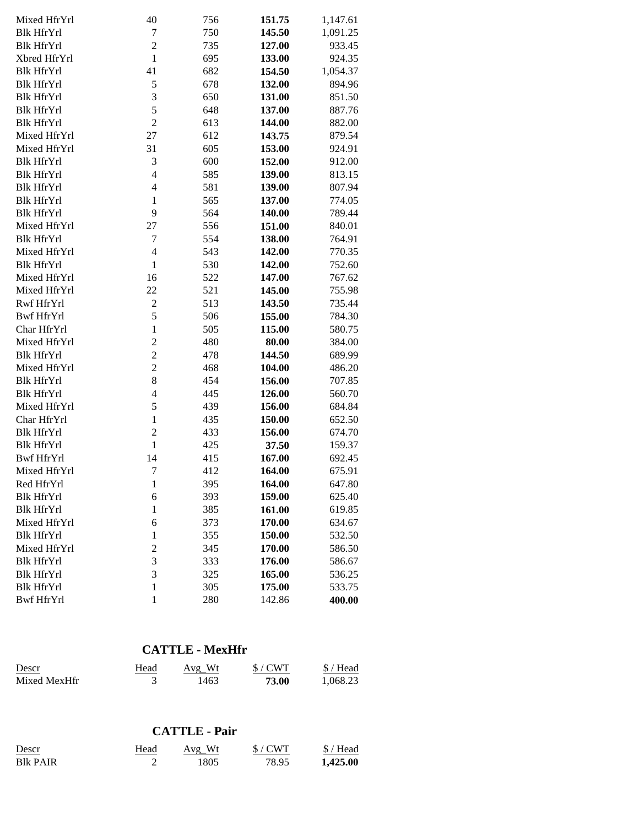| Mixed HfrYrl      | 40             | 756 | 151.75 | 1,147.61 |
|-------------------|----------------|-----|--------|----------|
| <b>Blk HfrYrl</b> | 7              | 750 | 145.50 | 1,091.25 |
| <b>Blk HfrYrl</b> | $\overline{c}$ | 735 | 127.00 | 933.45   |
| Xbred HfrYrl      | $\mathbf{1}$   | 695 | 133.00 | 924.35   |
| <b>Blk HfrYrl</b> | 41             | 682 | 154.50 | 1,054.37 |
| <b>Blk HfrYrl</b> | 5              | 678 | 132.00 | 894.96   |
| Blk HfrYrl        | 3              | 650 | 131.00 | 851.50   |
| <b>Blk HfrYrl</b> | 5              | 648 | 137.00 | 887.76   |
| <b>Blk HfrYrl</b> | $\overline{2}$ | 613 | 144.00 | 882.00   |
| Mixed HfrYrl      | 27             | 612 | 143.75 | 879.54   |
| Mixed HfrYrl      | 31             | 605 | 153.00 | 924.91   |
| <b>Blk HfrYrl</b> | 3              | 600 | 152.00 | 912.00   |
| <b>Blk HfrYrl</b> | $\overline{4}$ | 585 | 139.00 | 813.15   |
| <b>Blk HfrYrl</b> | $\overline{4}$ | 581 | 139.00 | 807.94   |
| <b>Blk HfrYrl</b> | $\mathbf{1}$   | 565 | 137.00 | 774.05   |
| <b>Blk HfrYrl</b> | 9              | 564 | 140.00 | 789.44   |
| Mixed HfrYrl      | 27             | 556 | 151.00 | 840.01   |
| <b>Blk HfrYrl</b> | 7              | 554 | 138.00 | 764.91   |
| Mixed HfrYrl      | $\overline{4}$ | 543 | 142.00 | 770.35   |
| <b>Blk HfrYrl</b> | $\mathbf{1}$   | 530 | 142.00 | 752.60   |
| Mixed HfrYrl      | 16             | 522 | 147.00 | 767.62   |
| Mixed HfrYrl      | 22             | 521 | 145.00 | 755.98   |
| Rwf HfrYrl        | $\overline{2}$ | 513 | 143.50 | 735.44   |
| Bwf HfrYrl        | 5              | 506 | 155.00 | 784.30   |
| Char HfrYrl       | $\mathbf{1}$   | 505 | 115.00 | 580.75   |
| Mixed HfrYrl      | $\overline{c}$ | 480 | 80.00  | 384.00   |
| <b>Blk HfrYrl</b> | $\overline{c}$ | 478 | 144.50 | 689.99   |
| Mixed HfrYrl      | $\overline{c}$ | 468 | 104.00 | 486.20   |
| <b>Blk HfrYrl</b> | 8              | 454 | 156.00 | 707.85   |
| <b>Blk HfrYrl</b> | $\overline{4}$ | 445 | 126.00 | 560.70   |
| Mixed HfrYrl      | 5              | 439 | 156.00 | 684.84   |
| Char HfrYrl       | $\mathbf{1}$   | 435 | 150.00 | 652.50   |
| <b>Blk HfrYrl</b> | $\overline{c}$ | 433 | 156.00 | 674.70   |
| <b>Blk HfrYrl</b> | $\mathbf{1}$   | 425 | 37.50  | 159.37   |
| <b>Bwf HfrYrl</b> | 14             | 415 | 167.00 | 692.45   |
| Mixed HfrYrl      | 7              | 412 | 164.00 | 675.91   |
| Red HfrYrl        | $\mathbf{1}$   | 395 | 164.00 | 647.80   |
| <b>Blk HfrYrl</b> | 6              | 393 | 159.00 | 625.40   |
| <b>Blk HfrYrl</b> | $\mathbf{1}$   | 385 | 161.00 | 619.85   |
| Mixed HfrYrl      | 6              | 373 | 170.00 | 634.67   |
| <b>Blk HfrYrl</b> | $\mathbf{1}$   | 355 | 150.00 | 532.50   |
| Mixed HfrYrl      | $\overline{c}$ | 345 | 170.00 | 586.50   |
| <b>Blk HfrYrl</b> | 3              | 333 | 176.00 | 586.67   |
| <b>Blk HfrYrl</b> | 3              | 325 | 165.00 | 536.25   |
| <b>Blk HfrYrl</b> | $\mathbf{1}$   | 305 | 175.00 | 533.75   |
| <b>Bwf HfrYrl</b> | $\mathbf{1}$   | 280 | 142.86 | 400.00   |

## **CATTLE - MexHfr**

| Descr        | Head | Avg Wt | $$/$ CWT | $$/$ Head |
|--------------|------|--------|----------|-----------|
| Mixed MexHfr |      | 1463   | 73.00    | 1.068.23  |

#### **CATTLE - Pair**

| Descr     | Head | Avg Wt | $$/$ CWT | $$/$ Head |
|-----------|------|--------|----------|-----------|
| Blk PAIR- |      | 1805   | 78.95    | 1,425.00  |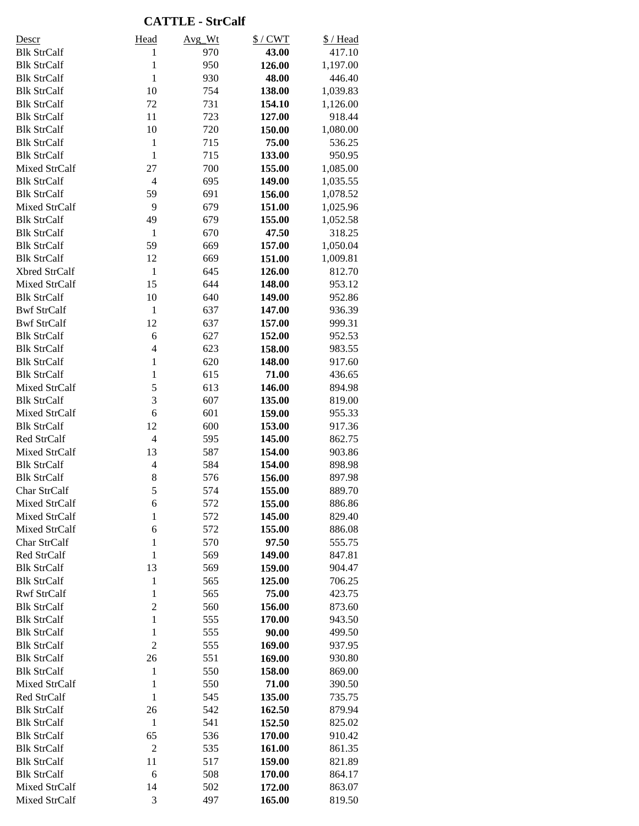#### **CATTLE - StrCalf**

| <u>Descr</u>                             | Head                 | Avg Wt     | $$/$ CWT         | \$/Head          |
|------------------------------------------|----------------------|------------|------------------|------------------|
| <b>Blk StrCalf</b>                       | $\mathbf{1}$         | 970        | 43.00            | 417.10           |
| <b>Blk StrCalf</b>                       | $\mathbf{1}$         | 950        | 126.00           | 1,197.00         |
| <b>Blk StrCalf</b>                       | $\mathbf{1}$         | 930        | 48.00            | 446.40           |
| <b>Blk StrCalf</b>                       | 10                   | 754        | 138.00           | 1,039.83         |
| <b>Blk StrCalf</b>                       | 72                   | 731        | 154.10           | 1,126.00         |
| <b>Blk StrCalf</b>                       | 11                   | 723        | 127.00           | 918.44           |
| <b>Blk StrCalf</b>                       | 10                   | 720        | 150.00           | 1,080.00         |
| <b>Blk StrCalf</b>                       | $\mathbf{1}$         | 715        | 75.00            | 536.25           |
| <b>Blk StrCalf</b>                       | $\mathbf{1}$         | 715        | 133.00           | 950.95           |
| Mixed StrCalf                            | 27                   | 700        | 155.00           | 1,085.00         |
| <b>Blk StrCalf</b>                       | $\overline{4}$       | 695        | 149.00           | 1,035.55         |
| <b>Blk StrCalf</b>                       | 59                   | 691        | 156.00           | 1,078.52         |
| Mixed StrCalf                            | 9                    | 679        | 151.00           | 1,025.96         |
| <b>Blk StrCalf</b>                       | 49                   | 679        | 155.00           | 1,052.58         |
| <b>Blk StrCalf</b>                       | $\mathbf{1}$         | 670        | 47.50            | 318.25           |
| <b>Blk StrCalf</b>                       | 59                   | 669        | 157.00           | 1,050.04         |
| <b>Blk StrCalf</b>                       | 12                   | 669        | 151.00           | 1,009.81         |
| Xbred StrCalf                            | $\mathbf{1}$         | 645        | 126.00           | 812.70           |
| Mixed StrCalf                            | 15                   | 644        | 148.00           | 953.12           |
| <b>Blk StrCalf</b>                       | 10                   | 640        | 149.00           | 952.86           |
| <b>Bwf StrCalf</b>                       | $\,1\,$              | 637        | 147.00           | 936.39           |
| <b>Bwf StrCalf</b>                       | 12                   | 637        | 157.00           | 999.31           |
| <b>Blk StrCalf</b>                       | 6                    | 627        | 152.00           | 952.53           |
| <b>Blk StrCalf</b>                       | $\overline{4}$       | 623        | 158.00           | 983.55           |
| <b>Blk StrCalf</b>                       | $\mathbf{1}$         | 620        | 148.00           | 917.60           |
| <b>Blk StrCalf</b>                       | $\mathbf{1}$         | 615        | 71.00            | 436.65           |
| Mixed StrCalf                            | 5                    | 613        | 146.00           | 894.98           |
| <b>Blk StrCalf</b>                       | 3                    | 607        | 135.00           | 819.00           |
| Mixed StrCalf                            | 6                    | 601        | 159.00           | 955.33           |
| <b>Blk StrCalf</b>                       | 12                   | 600        | 153.00           | 917.36           |
| Red StrCalf                              | $\overline{4}$       | 595        | 145.00           | 862.75           |
| Mixed StrCalf                            | 13                   | 587        | 154.00           | 903.86           |
| <b>Blk StrCalf</b>                       | $\overline{4}$       | 584        | 154.00           | 898.98           |
| <b>Blk StrCalf</b>                       | $\,$ 8 $\,$          | 576        | 156.00           | 897.98           |
| Char StrCalf                             | 5                    | 574        | 155.00           | 889.70           |
| Mixed StrCalf                            | 6                    | 572        | 155.00           | 886.86           |
| Mixed StrCalf                            | $\mathbf{1}$         | 572        | 145.00           | 829.40           |
| Mixed StrCalf                            | 6                    | 572        | 155.00           | 886.08           |
| Char StrCalf                             | $\mathbf{1}$         | 570        | 97.50            | 555.75           |
| Red StrCalf                              | $\mathbf{1}$         | 569        | 149.00           | 847.81           |
| <b>Blk StrCalf</b>                       | 13                   | 569        | 159.00           | 904.47           |
| <b>Blk StrCalf</b>                       | $\mathbf{1}$         | 565        | 125.00           | 706.25           |
| <b>Rwf StrCalf</b>                       | $\mathbf{1}$         | 565        | 75.00            | 423.75           |
| <b>Blk StrCalf</b>                       | $\overline{c}$       | 560        | 156.00           | 873.60           |
| <b>Blk StrCalf</b>                       | $\mathbf{1}$         | 555        | 170.00           | 943.50           |
| <b>Blk StrCalf</b>                       | $\mathbf 1$          | 555        | 90.00            | 499.50           |
| <b>Blk StrCalf</b>                       | $\overline{c}$       | 555        | 169.00           | 937.95           |
| <b>Blk StrCalf</b>                       | 26                   | 551        | 169.00           | 930.80           |
| <b>Blk StrCalf</b>                       | $\mathbf{1}$         | 550        | 158.00           | 869.00           |
| Mixed StrCalf                            | $\mathbf{1}$         | 550        | 71.00            | 390.50           |
| Red StrCalf                              | 1                    | 545        | 135.00           | 735.75           |
| <b>Blk StrCalf</b>                       | 26<br>$\,1\,$        | 542        | 162.50<br>152.50 | 879.94           |
| <b>Blk StrCalf</b>                       |                      | 541        |                  | 825.02           |
| <b>Blk StrCalf</b><br><b>Blk StrCalf</b> | 65<br>$\overline{2}$ | 536<br>535 | 170.00<br>161.00 | 910.42<br>861.35 |
| <b>Blk StrCalf</b>                       | 11                   | 517        | 159.00           | 821.89           |
| <b>Blk StrCalf</b>                       | 6                    | 508        | 170.00           | 864.17           |
| Mixed StrCalf                            | 14                   | 502        | 172.00           | 863.07           |
| Mixed StrCalf                            | 3                    | 497        | 165.00           | 819.50           |
|                                          |                      |            |                  |                  |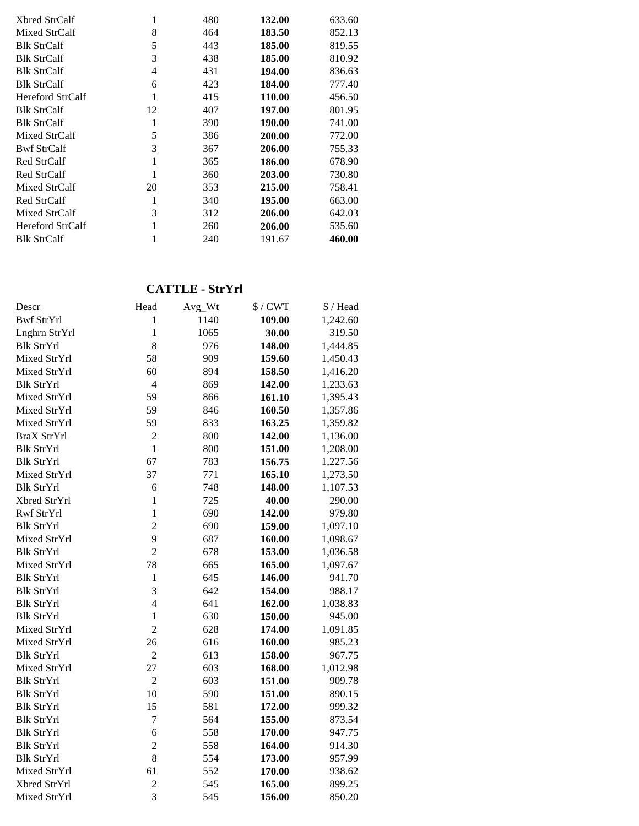| Xbred StrCalf           |    | 480 | 132.00 | 633.60 |
|-------------------------|----|-----|--------|--------|
| Mixed StrCalf           | 8  | 464 | 183.50 | 852.13 |
| <b>Blk StrCalf</b>      | 5  | 443 | 185.00 | 819.55 |
| <b>Blk StrCalf</b>      | 3  | 438 | 185.00 | 810.92 |
| <b>Blk StrCalf</b>      | 4  | 431 | 194.00 | 836.63 |
| <b>Blk StrCalf</b>      | 6  | 423 | 184.00 | 777.40 |
| <b>Hereford StrCalf</b> |    | 415 | 110.00 | 456.50 |
| <b>Blk StrCalf</b>      | 12 | 407 | 197.00 | 801.95 |
| <b>Blk StrCalf</b>      |    | 390 | 190.00 | 741.00 |
| Mixed StrCalf           | 5  | 386 | 200.00 | 772.00 |
| <b>Bwf StrCalf</b>      | 3  | 367 | 206.00 | 755.33 |
| Red StrCalf             |    | 365 | 186.00 | 678.90 |
| Red StrCalf             |    | 360 | 203.00 | 730.80 |
| Mixed StrCalf           | 20 | 353 | 215.00 | 758.41 |
| Red StrCalf             |    | 340 | 195.00 | 663.00 |
| Mixed StrCalf           | 3  | 312 | 206.00 | 642.03 |
| Hereford StrCalf        |    | 260 | 206.00 | 535.60 |
| <b>Blk StrCalf</b>      |    | 240 | 191.67 | 460.00 |

# **CATTLE - StrYrl**

| Descr              | Head           | Avg_Wt | $$/$ CWT | \$/Head  |
|--------------------|----------------|--------|----------|----------|
| <b>Bwf StrYrl</b>  | 1              | 1140   | 109.00   | 1,242.60 |
| Lnghrn StrYrl      | 1              | 1065   | 30.00    | 319.50   |
| <b>Blk StrYrl</b>  | 8              | 976    | 148.00   | 1,444.85 |
| Mixed StrYrl       | 58             | 909    | 159.60   | 1,450.43 |
| Mixed StrYrl       | 60             | 894    | 158.50   | 1,416.20 |
| <b>Blk StrYrl</b>  | $\overline{4}$ | 869    | 142.00   | 1,233.63 |
| Mixed StrYrl       | 59             | 866    | 161.10   | 1,395.43 |
| Mixed StrYrl       | 59             | 846    | 160.50   | 1,357.86 |
| Mixed StrYrl       | 59             | 833    | 163.25   | 1,359.82 |
| <b>BraX StrYrl</b> | $\overline{2}$ | 800    | 142.00   | 1,136.00 |
| <b>Blk StrYrl</b>  | $\mathbf{1}$   | 800    | 151.00   | 1,208.00 |
| <b>Blk StrYrl</b>  | 67             | 783    | 156.75   | 1,227.56 |
| Mixed StrYrl       | 37             | 771    | 165.10   | 1,273.50 |
| <b>Blk StrYrl</b>  | 6              | 748    | 148.00   | 1,107.53 |
| Xbred StrYrl       | $\mathbf{1}$   | 725    | 40.00    | 290.00   |
| Rwf StrYrl         | 1              | 690    | 142.00   | 979.80   |
| <b>Blk StrYrl</b>  | $\overline{2}$ | 690    | 159.00   | 1,097.10 |
| Mixed StrYrl       | 9              | 687    | 160.00   | 1,098.67 |
| <b>Blk StrYrl</b>  | $\overline{2}$ | 678    | 153.00   | 1,036.58 |
| Mixed StrYrl       | 78             | 665    | 165.00   | 1,097.67 |
| <b>Blk StrYrl</b>  | $\mathbf{1}$   | 645    | 146.00   | 941.70   |
| <b>Blk StrYrl</b>  | 3              | 642    | 154.00   | 988.17   |
| <b>Blk StrYrl</b>  | $\overline{4}$ | 641    | 162.00   | 1,038.83 |
| <b>Blk StrYrl</b>  | $\mathbf{1}$   | 630    | 150.00   | 945.00   |
| Mixed StrYrl       | $\overline{2}$ | 628    | 174.00   | 1,091.85 |
| Mixed StrYrl       | 26             | 616    | 160.00   | 985.23   |
| <b>Blk StrYrl</b>  | $\overline{2}$ | 613    | 158.00   | 967.75   |
| Mixed StrYrl       | 27             | 603    | 168.00   | 1,012.98 |
| <b>Blk StrYrl</b>  | $\overline{2}$ | 603    | 151.00   | 909.78   |
| <b>Blk StrYrl</b>  | 10             | 590    | 151.00   | 890.15   |
| <b>Blk StrYrl</b>  | 15             | 581    | 172.00   | 999.32   |
| <b>Blk StrYrl</b>  | $\overline{7}$ | 564    | 155.00   | 873.54   |
| <b>Blk StrYrl</b>  | 6              | 558    | 170.00   | 947.75   |
| <b>Blk StrYrl</b>  | $\overline{c}$ | 558    | 164.00   | 914.30   |
| <b>Blk StrYrl</b>  | 8              | 554    | 173.00   | 957.99   |
| Mixed StrYrl       | 61             | 552    | 170.00   | 938.62   |
| Xbred StrYrl       | $\overline{c}$ | 545    | 165.00   | 899.25   |
| Mixed StrYrl       | $\overline{3}$ | 545    | 156.00   | 850.20   |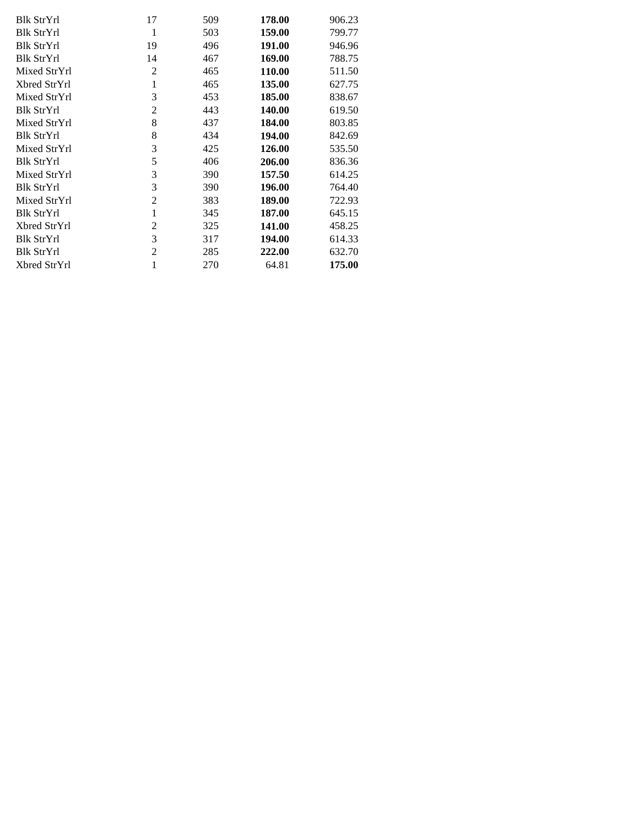| Blk StrYrl        | 17             | 509 | 178.00 | 906.23 |
|-------------------|----------------|-----|--------|--------|
| Blk StrYrl        | 1              | 503 | 159.00 | 799.77 |
| Blk StrYrl        | 19             | 496 | 191.00 | 946.96 |
| <b>Blk StrYrl</b> | 14             | 467 | 169.00 | 788.75 |
| Mixed StrYrl      | 2              | 465 | 110.00 | 511.50 |
| Xbred StrYrl      | 1              | 465 | 135.00 | 627.75 |
| Mixed StrYrl      | 3              | 453 | 185.00 | 838.67 |
| Blk StrYrl        | $\overline{c}$ | 443 | 140.00 | 619.50 |
| Mixed StrYrl      | 8              | 437 | 184.00 | 803.85 |
| Blk StrYrl        | 8              | 434 | 194.00 | 842.69 |
| Mixed StrYrl      | 3              | 425 | 126.00 | 535.50 |
| <b>Blk StrYrl</b> | 5              | 406 | 206.00 | 836.36 |
| Mixed StrYrl      | 3              | 390 | 157.50 | 614.25 |
| <b>Blk StrYrl</b> | 3              | 390 | 196.00 | 764.40 |
| Mixed StrYrl      | $\overline{c}$ | 383 | 189.00 | 722.93 |
| <b>Blk StrYrl</b> | 1              | 345 | 187.00 | 645.15 |
| Xbred StrYrl      | 2              | 325 | 141.00 | 458.25 |
| Blk StrYrl        | 3              | 317 | 194.00 | 614.33 |
| Blk StrYrl        | $\overline{2}$ | 285 | 222.00 | 632.70 |
| Xbred StrYrl      |                | 270 | 64.81  | 175.00 |